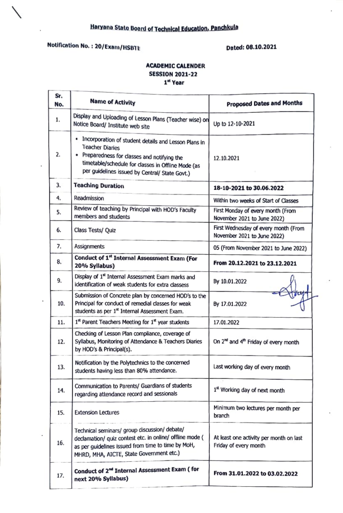# Notification No. : 20/Exam/HSBTE Dated: 08.10.2021

١

J.

Ł

### ACADEMIC CALENDER SESSION 2021-22 1" Year

| Sr.<br>No. | <b>Name of Activity</b>                                                                                                                                                                                                                  | <b>Proposed Dates and Months</b>                                    |
|------------|------------------------------------------------------------------------------------------------------------------------------------------------------------------------------------------------------------------------------------------|---------------------------------------------------------------------|
| 1.         | Display and Uploading of Lesson Plans (Teacher wise) on<br>Notice Board/ Institute web site                                                                                                                                              | Up to 12-10-2021                                                    |
| 2.         | . Incorporation of student details and Lesson Plans in<br><b>Teacher Diaries</b><br>• Preparedness for classes and notifying the<br>timetable/schedule for classes in Offline Mode (as<br>per guidelines issued by Central/ State Govt.) | 12.10.2021                                                          |
| 3.         | <b>Teaching Duration</b>                                                                                                                                                                                                                 | 18-10-2021 to 30.06.2022                                            |
| 4.         | Readmission                                                                                                                                                                                                                              | Within two weeks of Start of Classes                                |
| 5.         | Review of teaching by Principal with HOD's Faculty<br>members and students                                                                                                                                                               | First Monday of every month (From<br>November 2021 to June 2022)    |
| 6.         | Class Tests/ Quiz                                                                                                                                                                                                                        | First Wednesday of every month (From<br>November 2021 to June 2022) |
| 7.         | <b>Assignments</b>                                                                                                                                                                                                                       | 05 (From November 2021 to June 2022)                                |
| 8.         | Conduct of 1st Internal Assessment Exam (For<br>20% Syllabus)                                                                                                                                                                            | From 20.12.2021 to 23.12.2021                                       |
| 9.         | Display of 1st Internal Assessment Exam marks and<br>identification of weak students for extra classess                                                                                                                                  | By 10.01.2022                                                       |
| 10.        | Submission of Concrete plan by concerned HOD's to the<br>Principal for conduct of remedial classes for weak<br>students as per 1st Internal Assessment Exam.                                                                             | By 17.01.2022                                                       |
| 11.        | 1st Parent Teachers Meeting for 1st year students                                                                                                                                                                                        | 17.01.2022                                                          |
| 12.        | Checking of Lesson Plan compliance, coverage of<br>Syllabus, Monitoring of Attendance & Teachers Diaries<br>by HOD's & Principal(s).                                                                                                     | On 2 <sup>nd</sup> and 4 <sup>th</sup> Friday of every month        |
| 13.        | Notification by the Polytechnics to the concerned<br>students having less than 80% attendance.                                                                                                                                           | Last working day of every month                                     |
| 14.        | Communication to Parents/ Guardians of students<br>regarding attendance record and sessionals                                                                                                                                            | 1st Working day of next month                                       |
| 15.        | <b>Extension Lectures</b>                                                                                                                                                                                                                | Minimum two lectures per month per<br>branch                        |
| 16.        | Technical seminars/ group discussion/ debate/<br>declamation/ quiz contest etc. in online/ offline mode (<br>as per guidelines issued from time to time by MoH,<br>MHRD, MHA, AICTE, State Government etc.)                              | At least one activity per month on last<br>Friday of every month    |
| 17.        | Conduct of 2 <sup>nd</sup> Internal Assessment Exam ( for<br>next 20% Syllabus)                                                                                                                                                          | From 31.01.2022 to 03.02.2022                                       |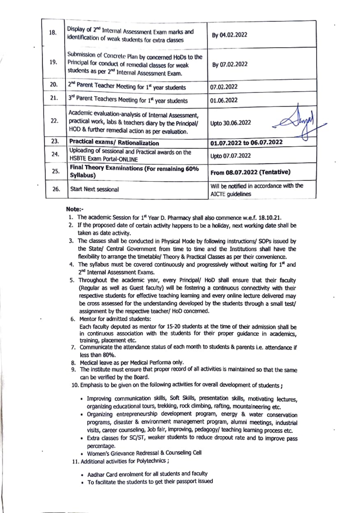| 18. | Display of 2nd Internal Assessment Exam marks and<br>identification of weak students for extra classes                                                                  | By 04.02.2022                                               |
|-----|-------------------------------------------------------------------------------------------------------------------------------------------------------------------------|-------------------------------------------------------------|
| 19. | Submission of Concrete Plan by concerned HoDs to the<br>Principal for conduct of remedial classes for weak<br>students as per 2 <sup>nd</sup> Internal Assessment Exam. | By 07.02.2022                                               |
| 20. | 2 <sup>nd</sup> Parent Teacher Meeting for 1st year students                                                                                                            | 07.02.2022                                                  |
| 21. | 3rd Parent Teachers Meeting for 1st year students                                                                                                                       | 01.06.2022                                                  |
| 22. | Academic evaluation-analysis of Internal Assessment,<br>practical work, labs & teachers diary by the Principal/<br>HOD & further remedial action as per evaluation.     | Upto 30.06.2022                                             |
| 23. | Practical exams/ Rationalization                                                                                                                                        | 01.07.2022 to 06.07.2022                                    |
| 24. | Uploading of sessional and Practical awards on the<br>HSBTE Exam Portal-ONLINE                                                                                          | Upto 07.07.2022                                             |
| 25. | Final Theory Examinations (For remaining 60%<br>Syllabus)                                                                                                               | From 08.07.2022 (Tentative)                                 |
| 26. | Start Next sessional                                                                                                                                                    | Will be notified in accordance with the<br>AICTE guidelines |

#### Note:

- 1. The academic Session for 1<sup>st</sup> Year D. Pharmacy shall also commence w.e.f. 18.10.21.
- 2. Ir the proposed date of certain activity happens to be a holiday, next working date shall be taken as date activity.
- 3. The dasses shall be conducted in Physical Mode by following instructions/ SOPs issued by the State/ Central Government from time to time and the Institutions shall have the fiexibility to arrange the timetable/ Theory & Practical Classes as per their convenience.
- 4. The syllabus must be covered continuously and progressively without waiting for  $1<sup>st</sup>$  and 2<sup>nd</sup> Internal Assessment Exams.
- 5. Throughout the academic year, every Principal/ HoD shall ensure that their faculty (Regular as well as Guest faculty) will be fostering a continuous connectivity with their respective students for effective teaching learning and every online lecture delivered may be cross assessed for the understanding developed by the students through a small test/ assignment by the respective teacher/ HoD concemed.
- 

5. Mentor for admitted students: Each faculty deputed as mentor for 15-20 students at the time of their admission shall be in continuous association with the students for their proper guidance in academics, training, placement etc. 7. Communicate the attendance status of eadh month to students & parents i.e. attendance if

- ess than 80%.
- 8. Medical leave as per Medical Performa only.
- 9. The institute must ensure that proper record of all activities is maintained so that the same can be verified by the Board.
- 10. Emphasis to be given on the following activities for overall development of students :
	- Improving communication skills, Soft Skils, presentation skils, motivating lectures, organizing educational tours, trekking, rock dimbing, rafting, mountaineering etc.
	- Organizing entrepreneurship development program, energy & water conservation programs, disaster & emvironment management program, alumni meetings, industrial visits, career counseling, Job tair, Improving. pedagogy teaching learming process etc.
	- Extra classes for Sc/ST, weaker students to reduoe dropout rate and to improve pass percentage.
	- women's Grievance Redressal & Counseling Cell
- 11. Additional activities for Polytechnics;
	- Aadhar Card enrolment for all students and facully
	- To facilitate the students to get their passport issued